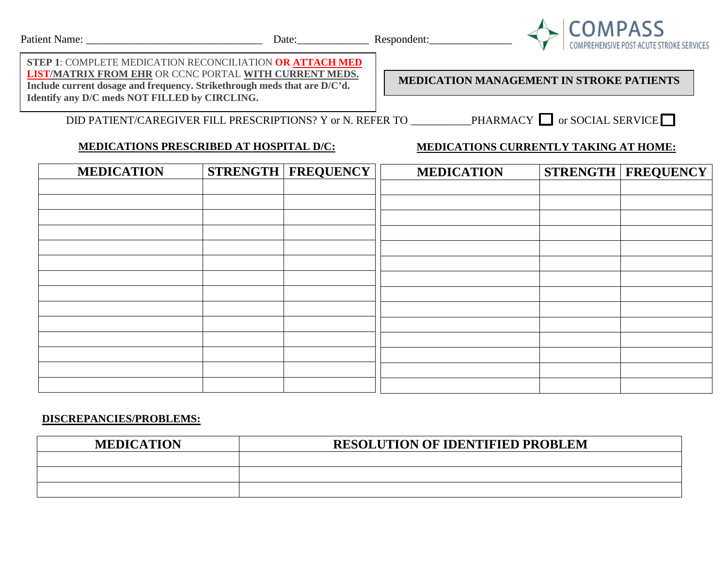

**STEP 1**: COMPLETE MEDICATION RECONCILIATION **OR ATTACH MED LIST/MATRIX FROM EHR** OR CCNC PORTAL **WITH CURRENT MEDS. Include current dosage and frequency. Strikethrough meds that are D/C'd. Identify any D/C meds NOT FILLED by CIRCLING.**

**MEDICATION MANAGEMENT IN STROKE PATIENTS**

DID PATIENT/CAREGIVER FILL PRESCRIPTIONS? Y or N. REFER TO \_\_\_\_\_\_\_\_\_\_PHARMACY  $\Box$  or SOCIAL SERVICE  $\Box$ 

# **MEDICATIONS PRESCRIBED AT HOSPITAL D/C:**

## **MEDICATIONS CURRENTLY TAKING AT HOME:**

| <b>MEDICATION</b> | <b>STRENGTH   FREQUENCY</b> | <b>MEDICATION</b> | <b>STRENGTH   FREQUENCY  </b> |
|-------------------|-----------------------------|-------------------|-------------------------------|
|                   |                             |                   |                               |
|                   |                             |                   |                               |
|                   |                             |                   |                               |
|                   |                             |                   |                               |
|                   |                             |                   |                               |
|                   |                             |                   |                               |
|                   |                             |                   |                               |
|                   |                             |                   |                               |
|                   |                             |                   |                               |
|                   |                             |                   |                               |
|                   |                             |                   |                               |
|                   |                             |                   |                               |
|                   |                             |                   |                               |
|                   |                             |                   |                               |

### **DISCREPANCIES/PROBLEMS:**

| <b>MEDICATION</b> | <b>RESOLUTION OF IDENTIFIED PROBLEM</b> |
|-------------------|-----------------------------------------|
|                   |                                         |
|                   |                                         |
|                   |                                         |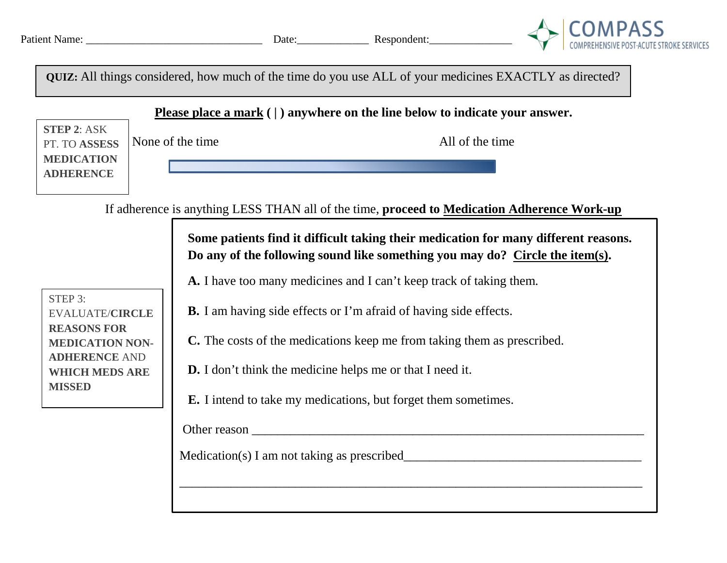

**QUIZ:** All things considered, how much of the time do you use ALL of your medicines EXACTLY as directed?

**Please place a mark ( | ) anywhere on the line below to indicate your answer.**

**STEP 2**: ASK PT. TO **ASSESS MEDICATION ADHERENCE**

If adherence is anything LESS THAN all of the time, **proceed to Medication Adherence Work-up**

**Some patients find it difficult taking their medication for many different reasons. Do any of the following sound like something you may do? Circle the item(s).**

\_\_\_\_\_\_\_\_\_\_\_\_\_\_\_\_\_\_\_\_\_\_\_\_\_\_\_\_\_\_\_\_\_\_\_\_\_\_\_\_\_\_\_\_\_\_\_\_\_\_\_\_\_\_\_\_\_\_\_\_\_\_\_\_\_\_\_\_\_\_\_\_

**A.** I have too many medicines and I can't keep track of taking them.

STEP 3: EVALUATE/**CIRCLE REASONS FOR MEDICATION NON-ADHERENCE** AND **WHICH MEDS ARE MISSED**

- **B.** I am having side effects or I'm afraid of having side effects.
- **C.** The costs of the medications keep me from taking them as prescribed.
- **D.** I don't think the medicine helps me or that I need it.
- **E.** I intend to take my medications, but forget them sometimes.

Other reason \_\_\_\_\_\_\_\_\_\_\_\_\_\_\_\_\_\_\_\_\_\_\_\_\_\_\_\_\_\_\_\_\_\_\_\_\_\_\_\_\_\_\_\_\_\_\_\_\_\_\_\_\_\_\_\_\_\_\_\_\_

Medication(s) I am not taking as prescribed\_\_\_\_\_\_\_\_\_\_\_\_\_\_\_\_\_\_\_\_\_\_\_\_\_\_\_\_\_\_\_\_\_\_\_\_\_

None of the time All of the time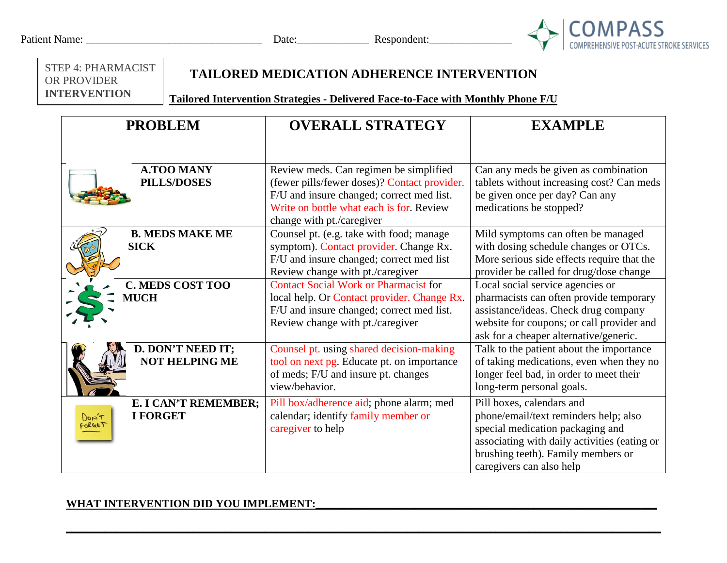| Patient Name: |  |
|---------------|--|
|---------------|--|



STEP 4: PHARMACIST OR PROVIDER **INTERVENTION**

## **TAILORED MEDICATION ADHERENCE INTERVENTION**

**Tailored Intervention Strategies - Delivered Face-to-Face with Monthly Phone F/U**

| <b>PROBLEM</b>                                                    | <b>OVERALL STRATEGY</b>                                                                                                                                                                                      | <b>EXAMPLE</b>                                                                                                                                                                                                           |
|-------------------------------------------------------------------|--------------------------------------------------------------------------------------------------------------------------------------------------------------------------------------------------------------|--------------------------------------------------------------------------------------------------------------------------------------------------------------------------------------------------------------------------|
|                                                                   |                                                                                                                                                                                                              |                                                                                                                                                                                                                          |
| <b>A.TOO MANY</b><br><b>PILLS/DOSES</b>                           | Review meds. Can regimen be simplified<br>(fewer pills/fewer doses)? Contact provider.<br>F/U and insure changed; correct med list.<br>Write on bottle what each is for. Review<br>change with pt./caregiver | Can any meds be given as combination<br>tablets without increasing cost? Can meds<br>be given once per day? Can any<br>medications be stopped?                                                                           |
| <b>B. MEDS MAKE ME</b><br><b>SICK</b>                             | Counsel pt. (e.g. take with food; manage<br>symptom). Contact provider. Change Rx.<br>F/U and insure changed; correct med list<br>Review change with pt./caregiver                                           | Mild symptoms can often be managed<br>with dosing schedule changes or OTCs.<br>More serious side effects require that the<br>provider be called for drug/dose change                                                     |
| <b>C. MEDS COST TOO</b><br><b>MUCH</b>                            | <b>Contact Social Work or Pharmacist for</b><br>local help. Or Contact provider. Change Rx.<br>F/U and insure changed; correct med list.<br>Review change with pt./caregiver                                 | Local social service agencies or<br>pharmacists can often provide temporary<br>assistance/ideas. Check drug company<br>website for coupons; or call provider and<br>ask for a cheaper alternative/generic.               |
| D. DON'T NEED IT;<br><b>NOT HELPING ME</b>                        | Counsel pt. using shared decision-making<br>tool on next pg. Educate pt. on importance<br>of meds; F/U and insure pt. changes<br>view/behavior.                                                              | Talk to the patient about the importance<br>of taking medications, even when they no<br>longer feel bad, in order to meet their<br>long-term personal goals.                                                             |
| <b>E. I CAN'T REMEMBER;</b><br><b>I FORGET</b><br>DON'T<br>Forget | Pill box/adherence aid; phone alarm; med<br>calendar; identify family member or<br>caregiver to help                                                                                                         | Pill boxes, calendars and<br>phone/email/text reminders help; also<br>special medication packaging and<br>associating with daily activities (eating or<br>brushing teeth). Family members or<br>caregivers can also help |

**\_\_\_\_\_\_\_\_\_\_\_\_\_\_\_\_\_\_\_\_\_\_\_\_\_\_\_\_\_\_\_\_\_\_\_\_\_\_\_\_\_\_\_\_\_\_\_\_\_\_\_\_\_\_\_\_\_\_\_\_\_\_\_\_\_\_\_\_\_\_\_\_\_\_\_\_\_\_\_\_\_\_\_\_\_\_\_\_\_\_\_\_\_\_\_\_\_\_\_\_\_\_\_\_\_\_\_\_**

### WHAT INTERVENTION DID YOU IMPLEMENT: